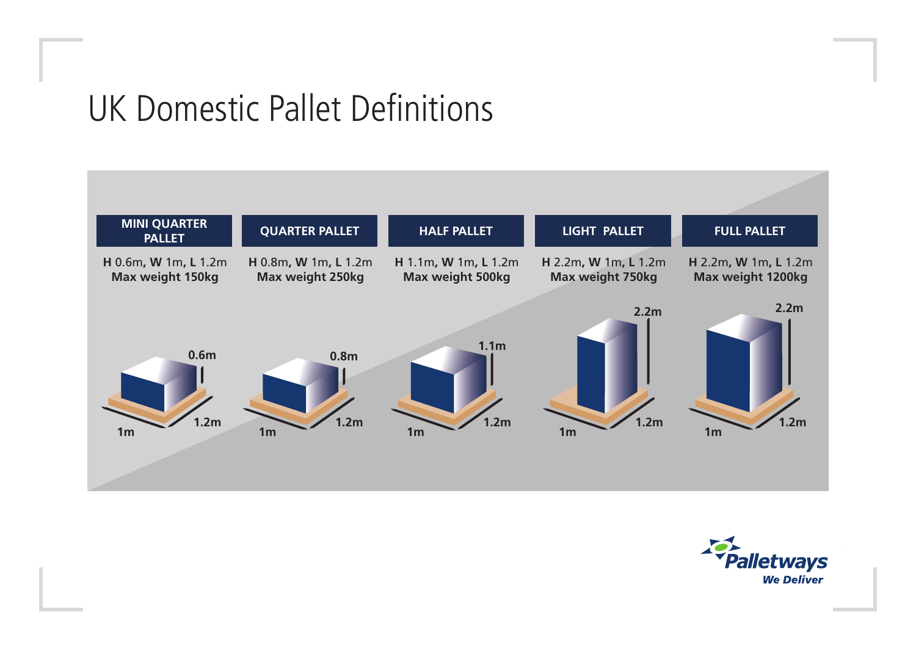## UK Domestic Pallet Definitions

**1.2m**

**0.6m**